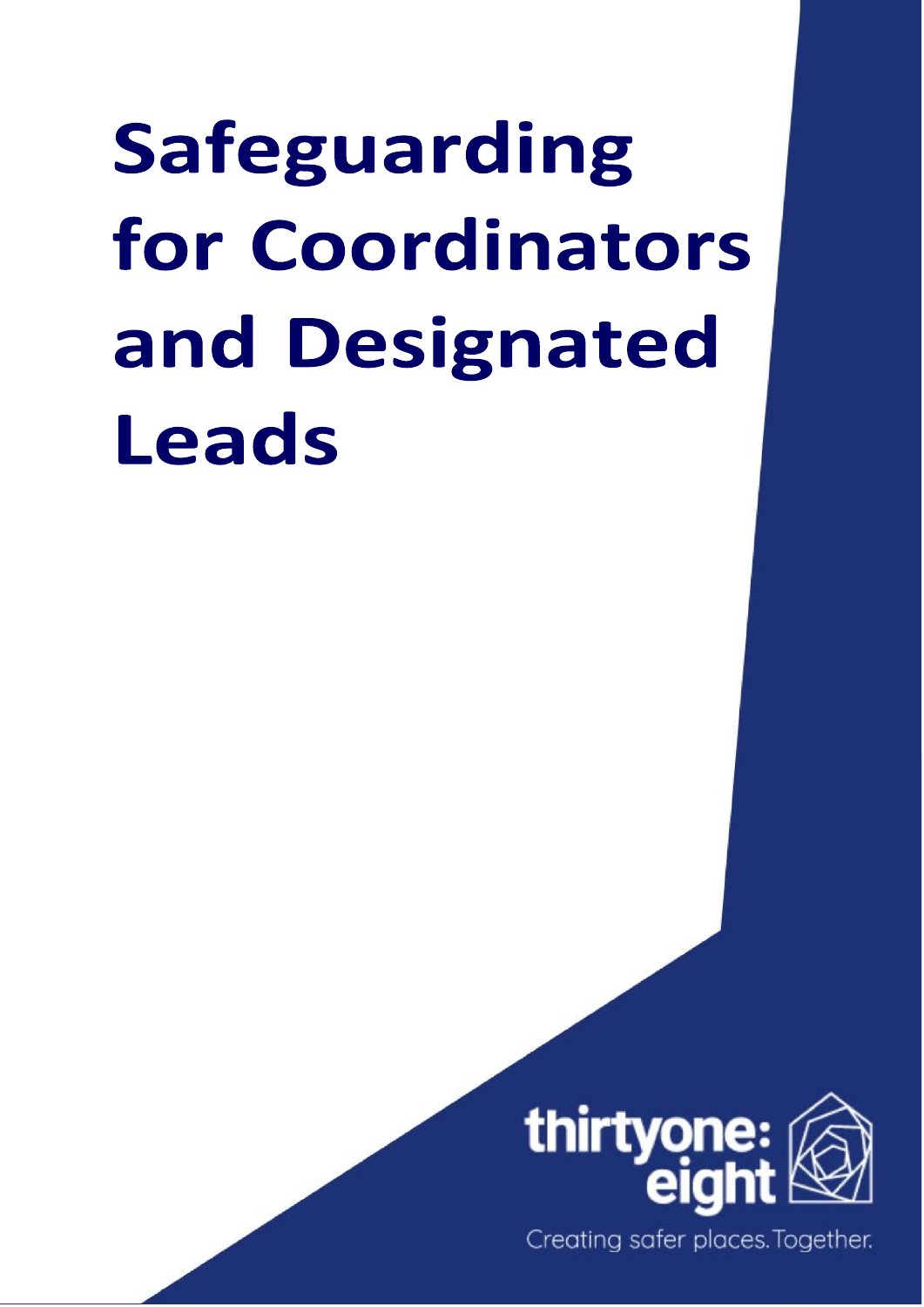# Safeguarding for Coordinators and Designated Leads



Creating safer places. Together.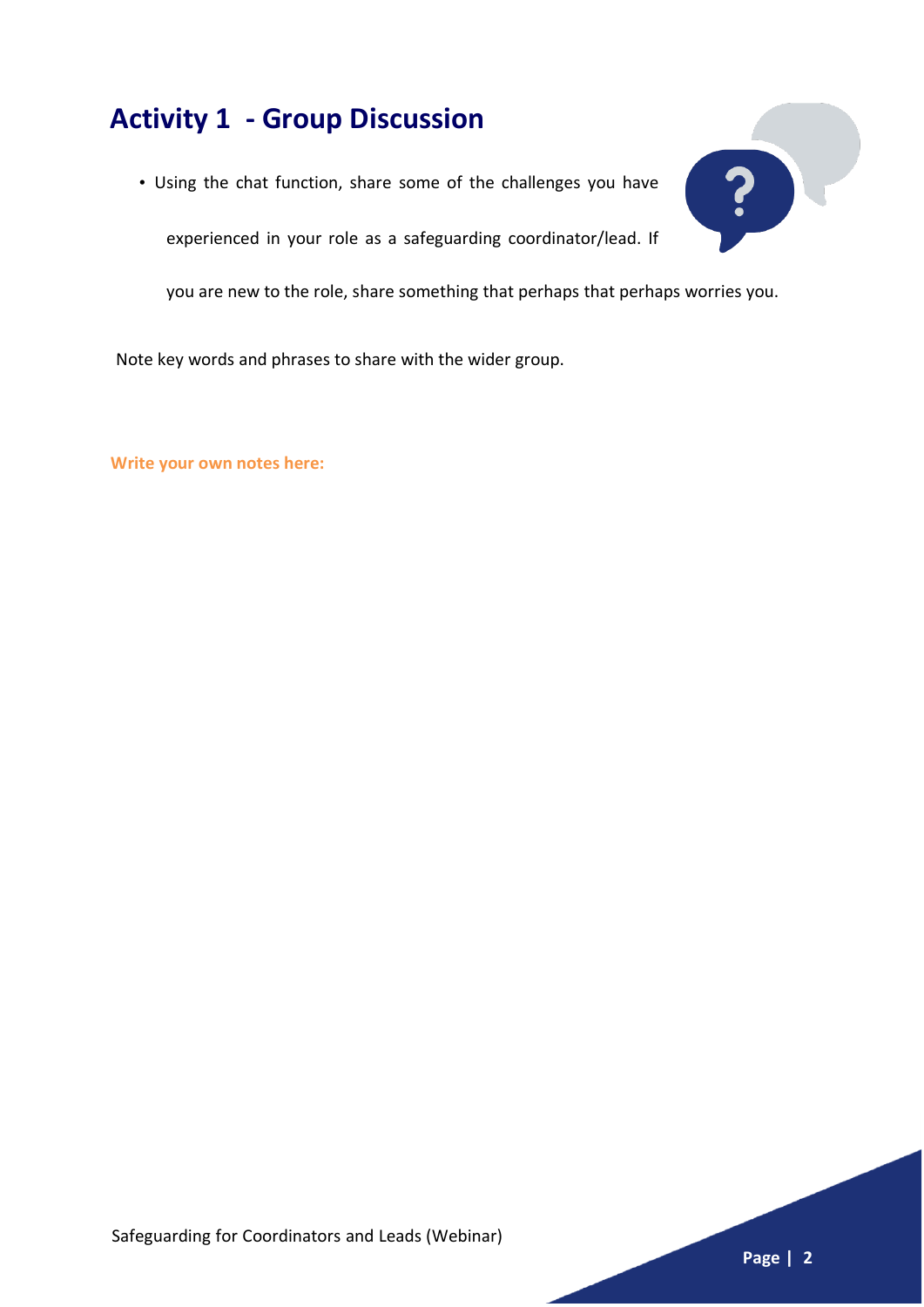# **Activity 1 - Group Discussion**

• Using the chat function, share some of the challenges you have

experienced in your role as a safeguarding coordinator/lead. If

you are new to the role, share something that perhaps that perhaps worries you.

Note key words and phrases to share with the wider group.

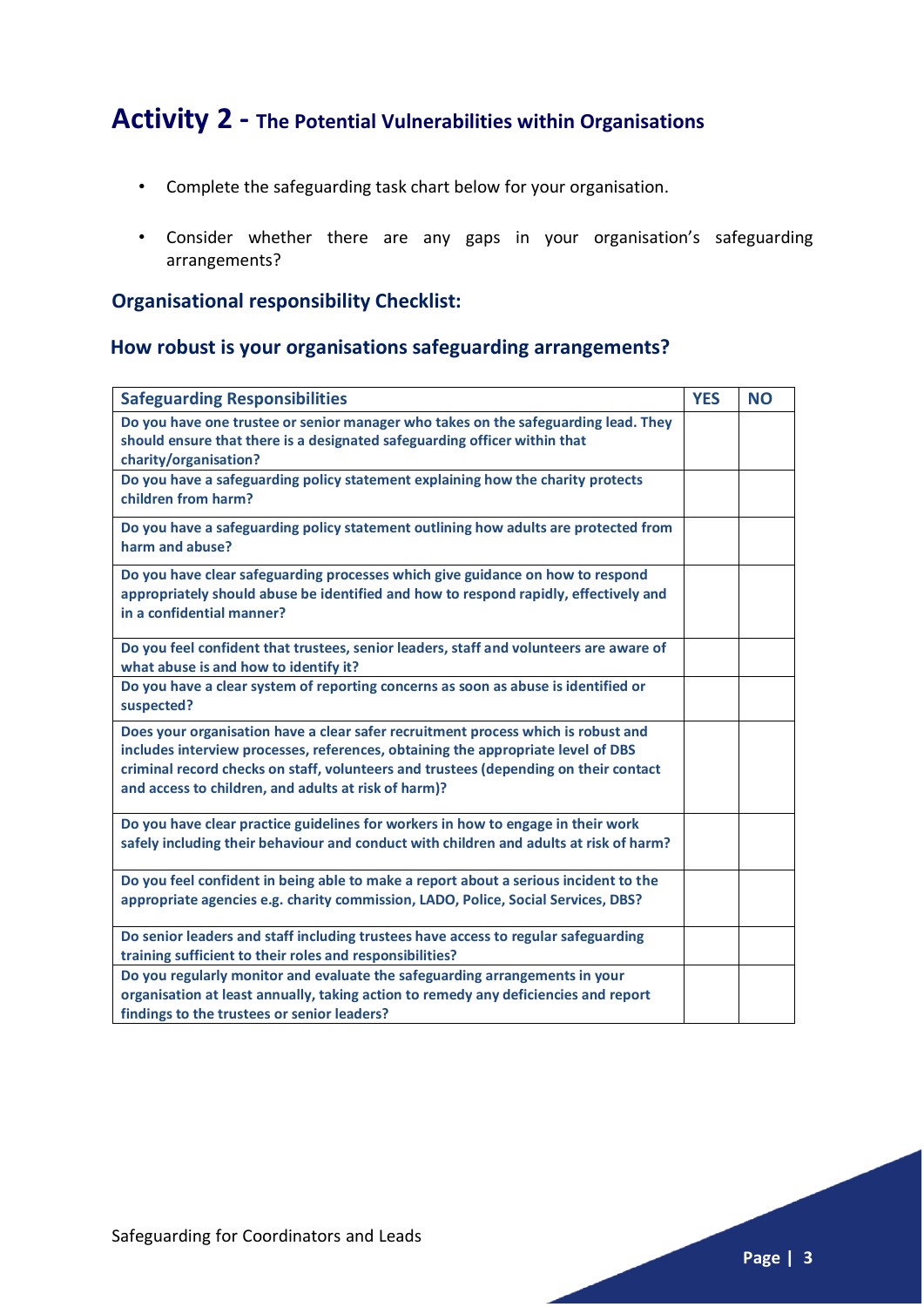## **Activity 2 - The Potential Vulnerabilities within Organisations**

- Complete the safeguarding task chart below for your organisation.
- Consider whether there are any gaps in your organisation's safeguarding arrangements?

#### **Organisational responsibility Checklist:**

#### **How robust is your organisations safeguarding arrangements?**

| <b>Safeguarding Responsibilities</b>                                                                                                                                                                                                                                                                                  | <b>YES</b> | <b>NO</b> |
|-----------------------------------------------------------------------------------------------------------------------------------------------------------------------------------------------------------------------------------------------------------------------------------------------------------------------|------------|-----------|
| Do you have one trustee or senior manager who takes on the safeguarding lead. They<br>should ensure that there is a designated safeguarding officer within that<br>charity/organisation?                                                                                                                              |            |           |
| Do you have a safeguarding policy statement explaining how the charity protects<br>children from harm?                                                                                                                                                                                                                |            |           |
| Do you have a safeguarding policy statement outlining how adults are protected from<br>harm and abuse?                                                                                                                                                                                                                |            |           |
| Do you have clear safeguarding processes which give guidance on how to respond<br>appropriately should abuse be identified and how to respond rapidly, effectively and<br>in a confidential manner?                                                                                                                   |            |           |
| Do you feel confident that trustees, senior leaders, staff and volunteers are aware of<br>what abuse is and how to identify it?                                                                                                                                                                                       |            |           |
| Do you have a clear system of reporting concerns as soon as abuse is identified or<br>suspected?                                                                                                                                                                                                                      |            |           |
| Does your organisation have a clear safer recruitment process which is robust and<br>includes interview processes, references, obtaining the appropriate level of DBS<br>criminal record checks on staff, volunteers and trustees (depending on their contact<br>and access to children, and adults at risk of harm)? |            |           |
| Do you have clear practice guidelines for workers in how to engage in their work<br>safely including their behaviour and conduct with children and adults at risk of harm?                                                                                                                                            |            |           |
| Do you feel confident in being able to make a report about a serious incident to the<br>appropriate agencies e.g. charity commission, LADO, Police, Social Services, DBS?                                                                                                                                             |            |           |
| Do senior leaders and staff including trustees have access to regular safeguarding<br>training sufficient to their roles and responsibilities?                                                                                                                                                                        |            |           |
| Do you regularly monitor and evaluate the safeguarding arrangements in your<br>organisation at least annually, taking action to remedy any deficiencies and report<br>findings to the trustees or senior leaders?                                                                                                     |            |           |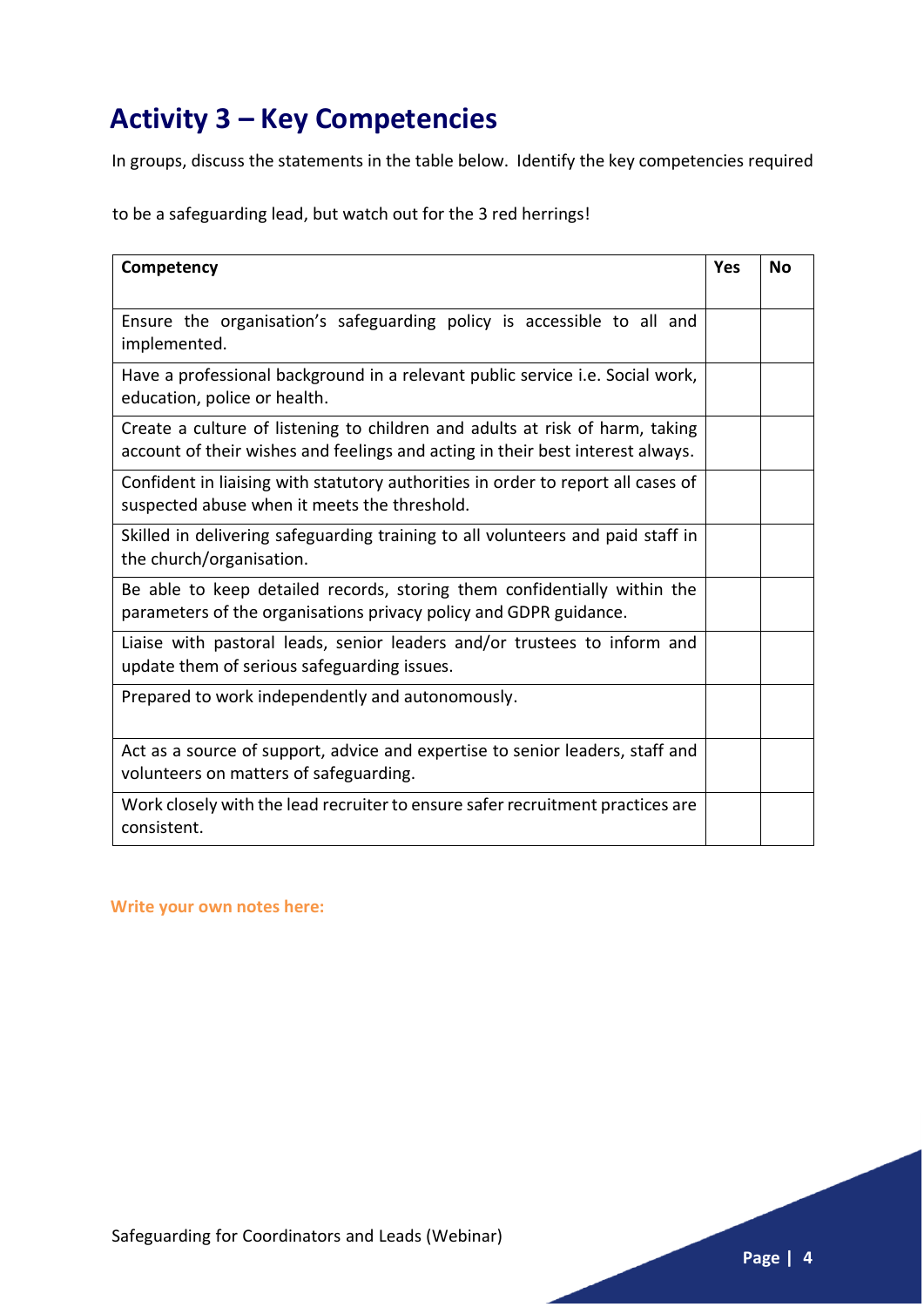# **Activity 3 – Key Competencies**

In groups, discuss the statements in the table below. Identify the key competencies required

to be a safeguarding lead, but watch out for the 3 red herrings!

| Competency                                                                                                                                                     | <b>Yes</b> | <b>No</b> |
|----------------------------------------------------------------------------------------------------------------------------------------------------------------|------------|-----------|
|                                                                                                                                                                |            |           |
| Ensure the organisation's safeguarding policy is accessible to all and<br>implemented.                                                                         |            |           |
| Have a professional background in a relevant public service i.e. Social work,<br>education, police or health.                                                  |            |           |
| Create a culture of listening to children and adults at risk of harm, taking<br>account of their wishes and feelings and acting in their best interest always. |            |           |
| Confident in liaising with statutory authorities in order to report all cases of<br>suspected abuse when it meets the threshold.                               |            |           |
| Skilled in delivering safeguarding training to all volunteers and paid staff in<br>the church/organisation.                                                    |            |           |
| Be able to keep detailed records, storing them confidentially within the<br>parameters of the organisations privacy policy and GDPR guidance.                  |            |           |
| Liaise with pastoral leads, senior leaders and/or trustees to inform and<br>update them of serious safeguarding issues.                                        |            |           |
| Prepared to work independently and autonomously.                                                                                                               |            |           |
| Act as a source of support, advice and expertise to senior leaders, staff and<br>volunteers on matters of safeguarding.                                        |            |           |
| Work closely with the lead recruiter to ensure safer recruitment practices are<br>consistent.                                                                  |            |           |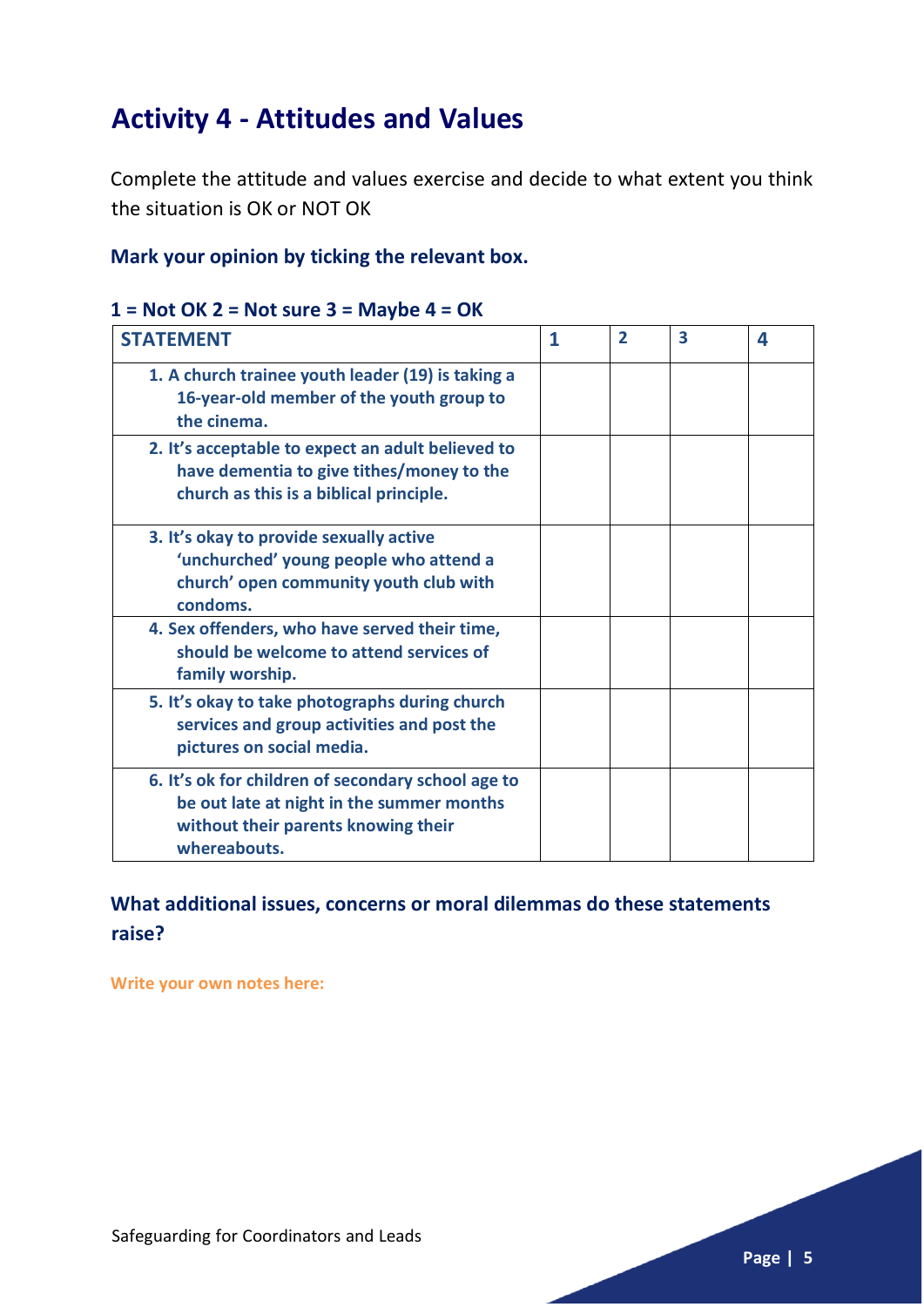# **Activity 4 - Attitudes and Values**

Complete the attitude and values exercise and decide to what extent you think the situation is OK or NOT OK

#### **Mark your opinion by ticking the relevant box.**

#### **1 = Not OK 2 = Not sure 3 = Maybe 4 = OK**

| <b>STATEMENT</b>                                                                                                                                       | 1 | $\overline{2}$ | $\overline{\mathbf{3}}$ | 4 |
|--------------------------------------------------------------------------------------------------------------------------------------------------------|---|----------------|-------------------------|---|
| 1. A church trainee youth leader (19) is taking a<br>16-year-old member of the youth group to<br>the cinema.                                           |   |                |                         |   |
| 2. It's acceptable to expect an adult believed to<br>have dementia to give tithes/money to the<br>church as this is a biblical principle.              |   |                |                         |   |
| 3. It's okay to provide sexually active<br>'unchurched' young people who attend a<br>church' open community youth club with<br>condoms.                |   |                |                         |   |
| 4. Sex offenders, who have served their time,<br>should be welcome to attend services of<br>family worship.                                            |   |                |                         |   |
| 5. It's okay to take photographs during church<br>services and group activities and post the<br>pictures on social media.                              |   |                |                         |   |
| 6. It's ok for children of secondary school age to<br>be out late at night in the summer months<br>without their parents knowing their<br>whereabouts. |   |                |                         |   |

#### **What additional issues, concerns or moral dilemmas do these statements raise?**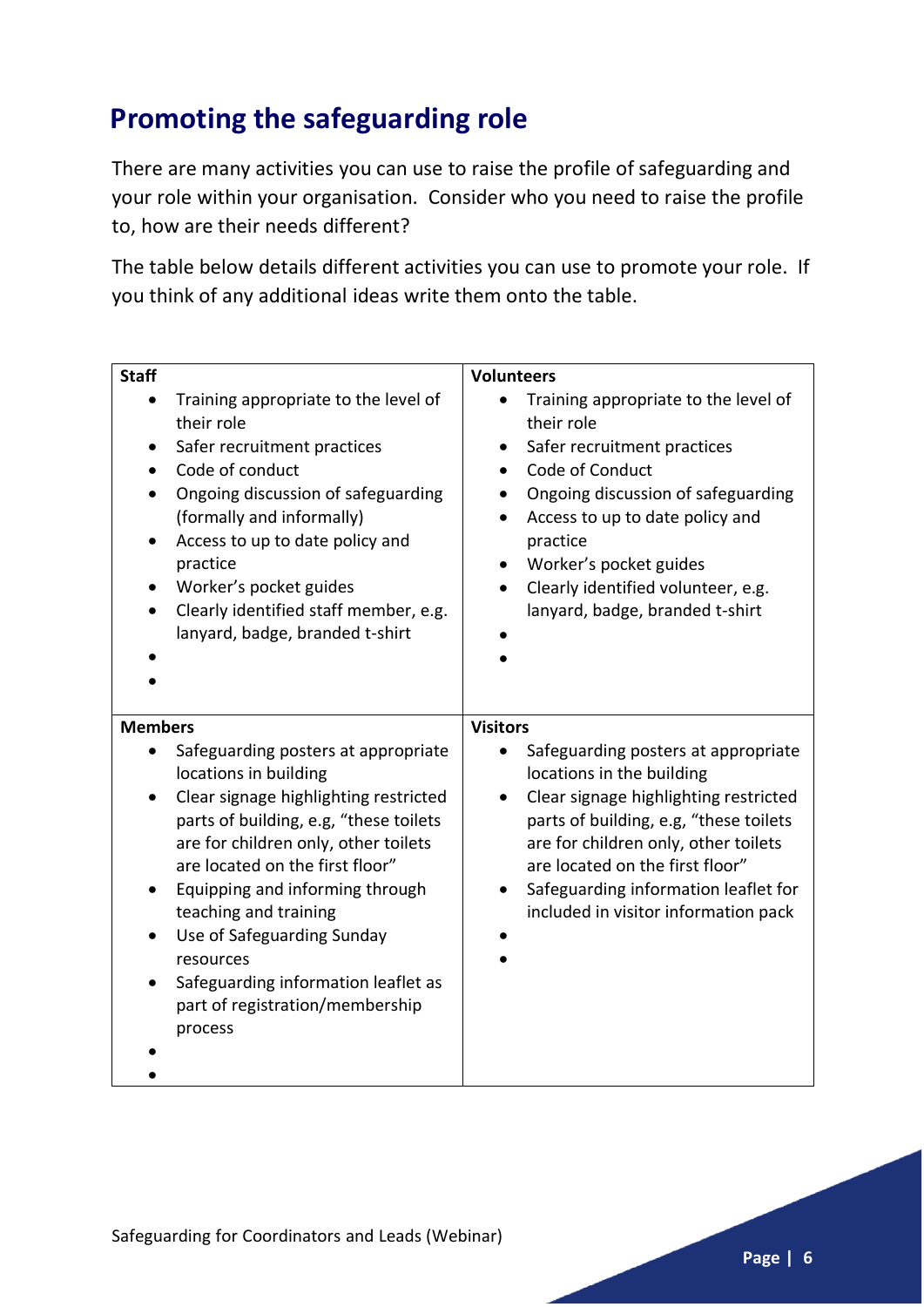# **Promoting the safeguarding role**

There are many activities you can use to raise the profile of safeguarding and your role within your organisation. Consider who you need to raise the profile to, how are their needs different?

The table below details different activities you can use to promote your role. If you think of any additional ideas write them onto the table.

| <b>Staff</b>                                                                                                                                                                                                                                                                                                                                                                                                                | <b>Volunteers</b>                                                                                                                                                                                                                                                                                                   |
|-----------------------------------------------------------------------------------------------------------------------------------------------------------------------------------------------------------------------------------------------------------------------------------------------------------------------------------------------------------------------------------------------------------------------------|---------------------------------------------------------------------------------------------------------------------------------------------------------------------------------------------------------------------------------------------------------------------------------------------------------------------|
| Training appropriate to the level of<br>their role<br>Safer recruitment practices<br>Code of conduct<br>Ongoing discussion of safeguarding<br>(formally and informally)<br>Access to up to date policy and<br>$\bullet$<br>practice<br>Worker's pocket guides<br>Clearly identified staff member, e.g.<br>$\bullet$<br>lanyard, badge, branded t-shirt                                                                      | Training appropriate to the level of<br>their role<br>Safer recruitment practices<br>$\bullet$<br>Code of Conduct<br>Ongoing discussion of safeguarding<br>Access to up to date policy and<br>practice<br>Worker's pocket guides<br>Clearly identified volunteer, e.g.<br>lanyard, badge, branded t-shirt           |
| <b>Members</b>                                                                                                                                                                                                                                                                                                                                                                                                              | <b>Visitors</b>                                                                                                                                                                                                                                                                                                     |
| Safeguarding posters at appropriate<br>locations in building<br>Clear signage highlighting restricted<br>parts of building, e.g, "these toilets<br>are for children only, other toilets<br>are located on the first floor"<br>Equipping and informing through<br>٠<br>teaching and training<br>Use of Safeguarding Sunday<br>resources<br>Safeguarding information leaflet as<br>part of registration/membership<br>process | Safeguarding posters at appropriate<br>locations in the building<br>Clear signage highlighting restricted<br>parts of building, e.g, "these toilets<br>are for children only, other toilets<br>are located on the first floor"<br>Safeguarding information leaflet for<br>٠<br>included in visitor information pack |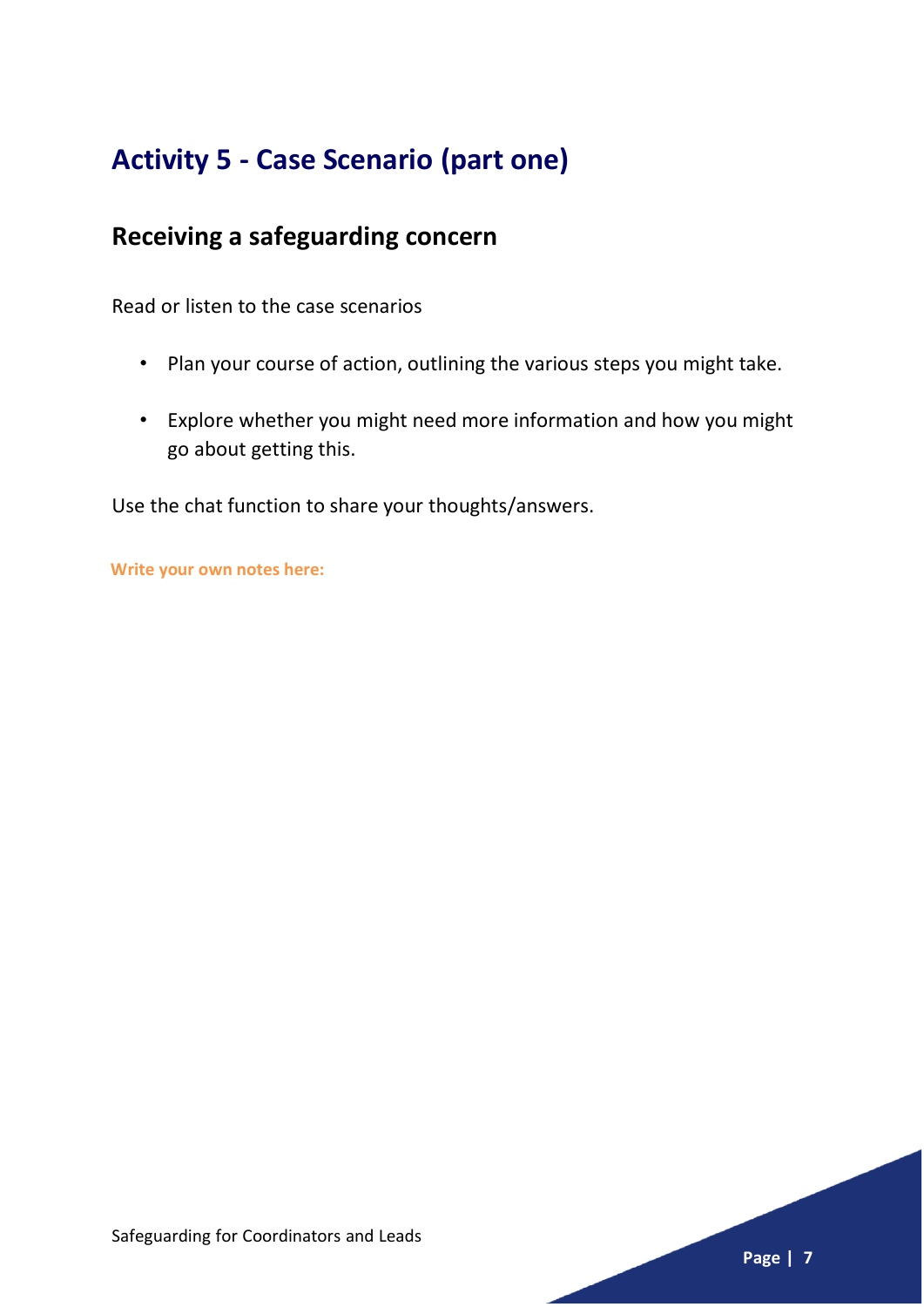# **Activity 5 - Case Scenario (part one)**

## **Receiving a safeguarding concern**

Read or listen to the case scenarios

- Plan your course of action, outlining the various steps you might take.
- Explore whether you might need more information and how you might go about getting this.

Use the chat function to share your thoughts/answers.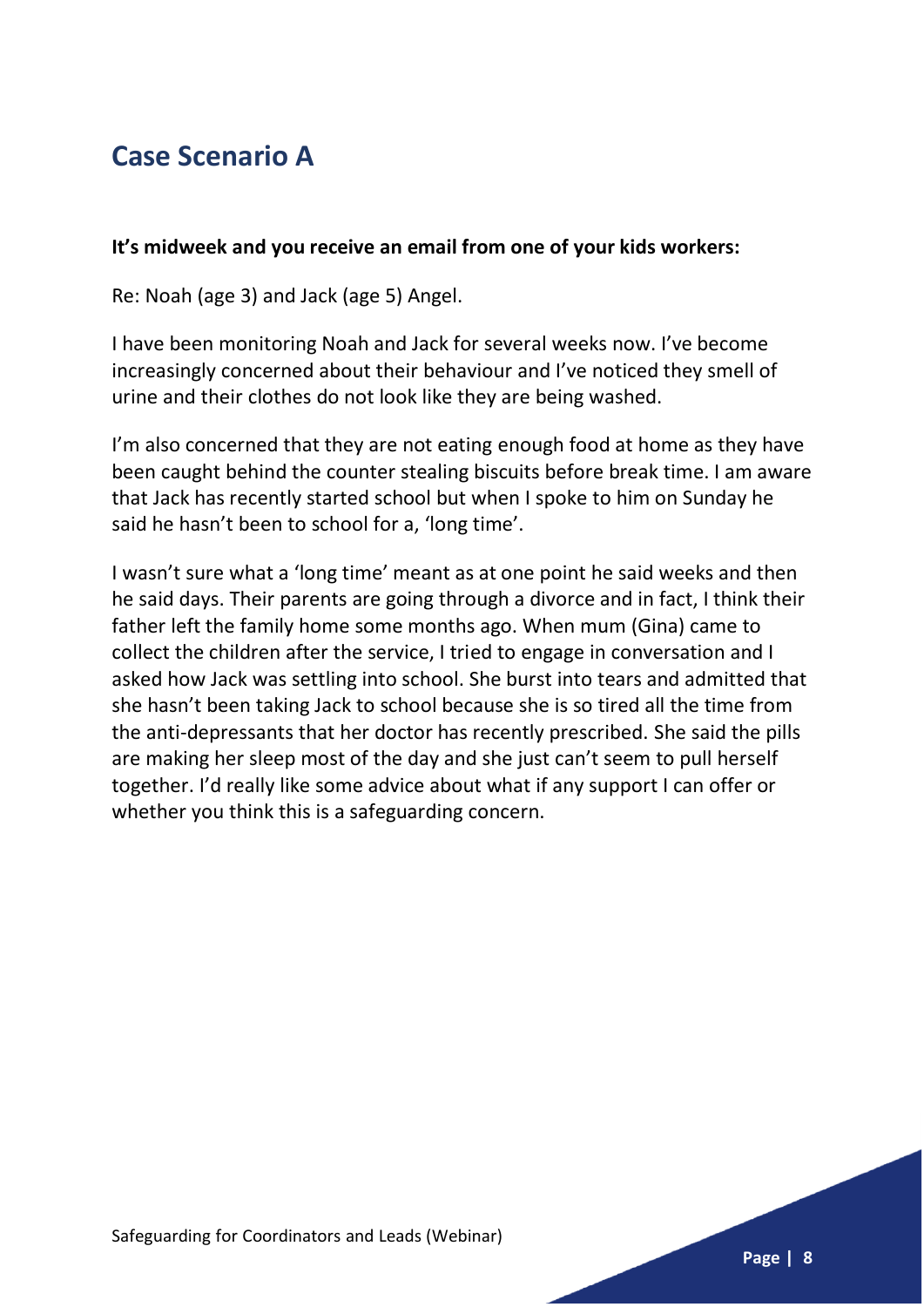# **Case Scenario A**

#### **It's midweek and you receive an email from one of your kids workers:**

Re: Noah (age 3) and Jack (age 5) Angel.

I have been monitoring Noah and Jack for several weeks now. I've become increasingly concerned about their behaviour and I've noticed they smell of urine and their clothes do not look like they are being washed.

I'm also concerned that they are not eating enough food at home as they have been caught behind the counter stealing biscuits before break time. I am aware that Jack has recently started school but when I spoke to him on Sunday he said he hasn't been to school for a, 'long time'.

I wasn't sure what a 'long time' meant as at one point he said weeks and then he said days. Their parents are going through a divorce and in fact, I think their father left the family home some months ago. When mum (Gina) came to collect the children after the service, I tried to engage in conversation and I asked how Jack was settling into school. She burst into tears and admitted that she hasn't been taking Jack to school because she is so tired all the time from the anti-depressants that her doctor has recently prescribed. She said the pills are making her sleep most of the day and she just can't seem to pull herself together. I'd really like some advice about what if any support I can offer or whether you think this is a safeguarding concern.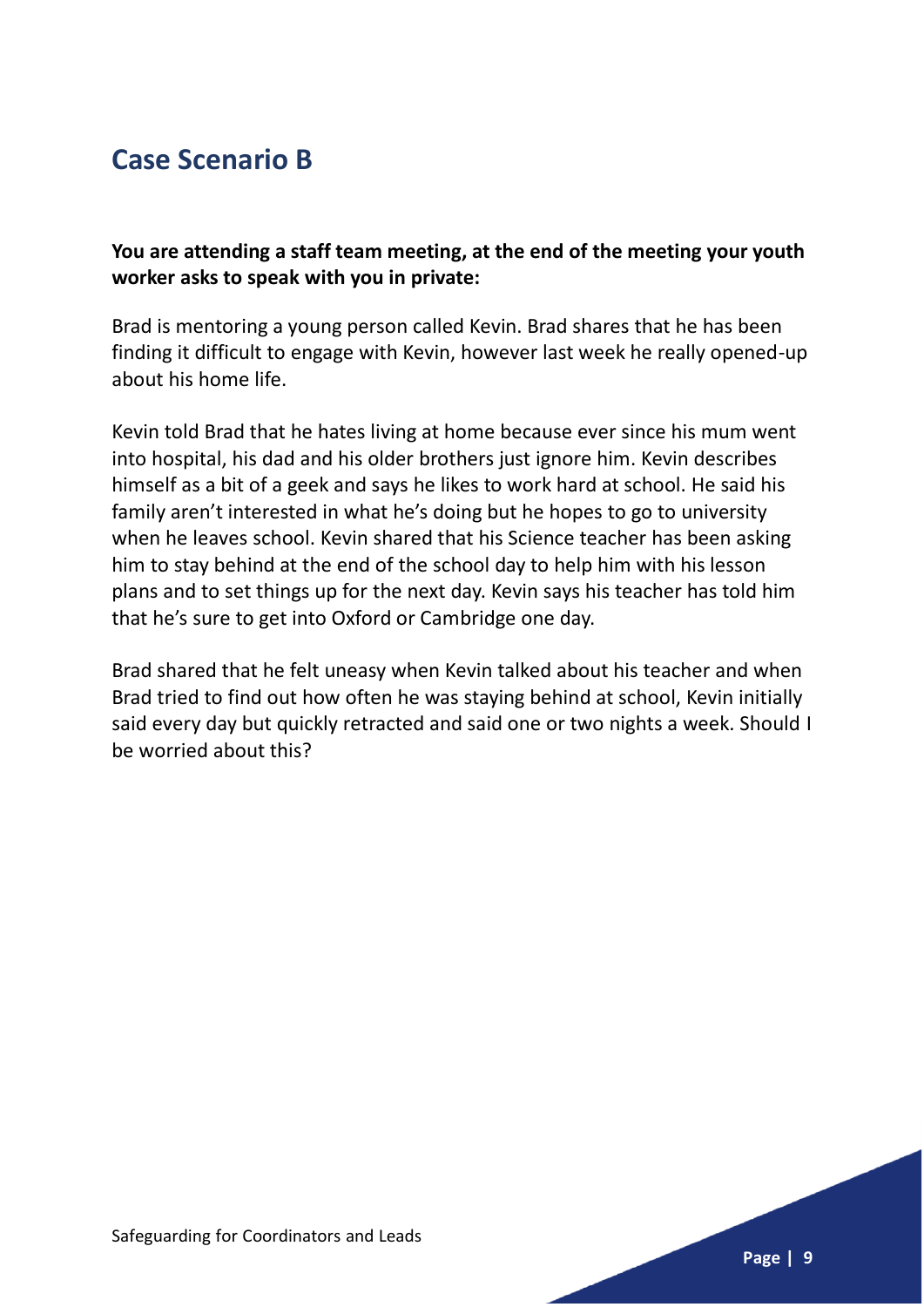## **Case Scenario B**

**You are attending a staff team meeting, at the end of the meeting your youth worker asks to speak with you in private:**

Brad is mentoring a young person called Kevin. Brad shares that he has been finding it difficult to engage with Kevin, however last week he really opened-up about his home life.

Kevin told Brad that he hates living at home because ever since his mum went into hospital, his dad and his older brothers just ignore him. Kevin describes himself as a bit of a geek and says he likes to work hard at school. He said his family aren't interested in what he's doing but he hopes to go to university when he leaves school. Kevin shared that his Science teacher has been asking him to stay behind at the end of the school day to help him with his lesson plans and to set things up for the next day. Kevin says his teacher has told him that he's sure to get into Oxford or Cambridge one day.

Brad shared that he felt uneasy when Kevin talked about his teacher and when Brad tried to find out how often he was staying behind at school, Kevin initially said every day but quickly retracted and said one or two nights a week. Should I be worried about this?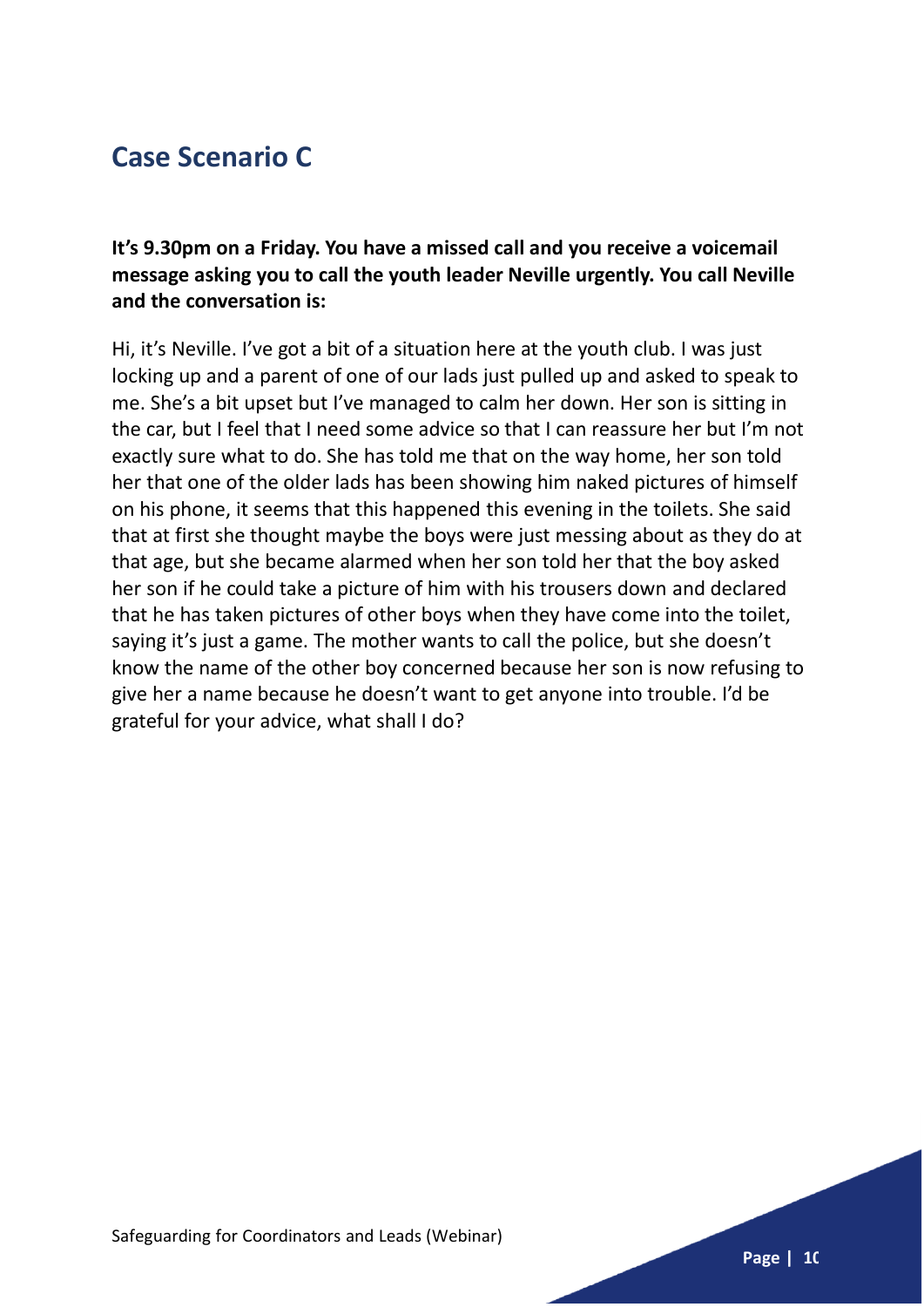# **Case Scenario C**

**It's 9.30pm on a Friday. You have a missed call and you receive a voicemail message asking you to call the youth leader Neville urgently. You call Neville and the conversation is:**

Hi, it's Neville. I've got a bit of a situation here at the youth club. I was just locking up and a parent of one of our lads just pulled up and asked to speak to me. She's a bit upset but I've managed to calm her down. Her son is sitting in the car, but I feel that I need some advice so that I can reassure her but I'm not exactly sure what to do. She has told me that on the way home, her son told her that one of the older lads has been showing him naked pictures of himself on his phone, it seems that this happened this evening in the toilets. She said that at first she thought maybe the boys were just messing about as they do at that age, but she became alarmed when her son told her that the boy asked her son if he could take a picture of him with his trousers down and declared that he has taken pictures of other boys when they have come into the toilet, saying it's just a game. The mother wants to call the police, but she doesn't know the name of the other boy concerned because her son is now refusing to give her a name because he doesn't want to get anyone into trouble. I'd be grateful for your advice, what shall I do?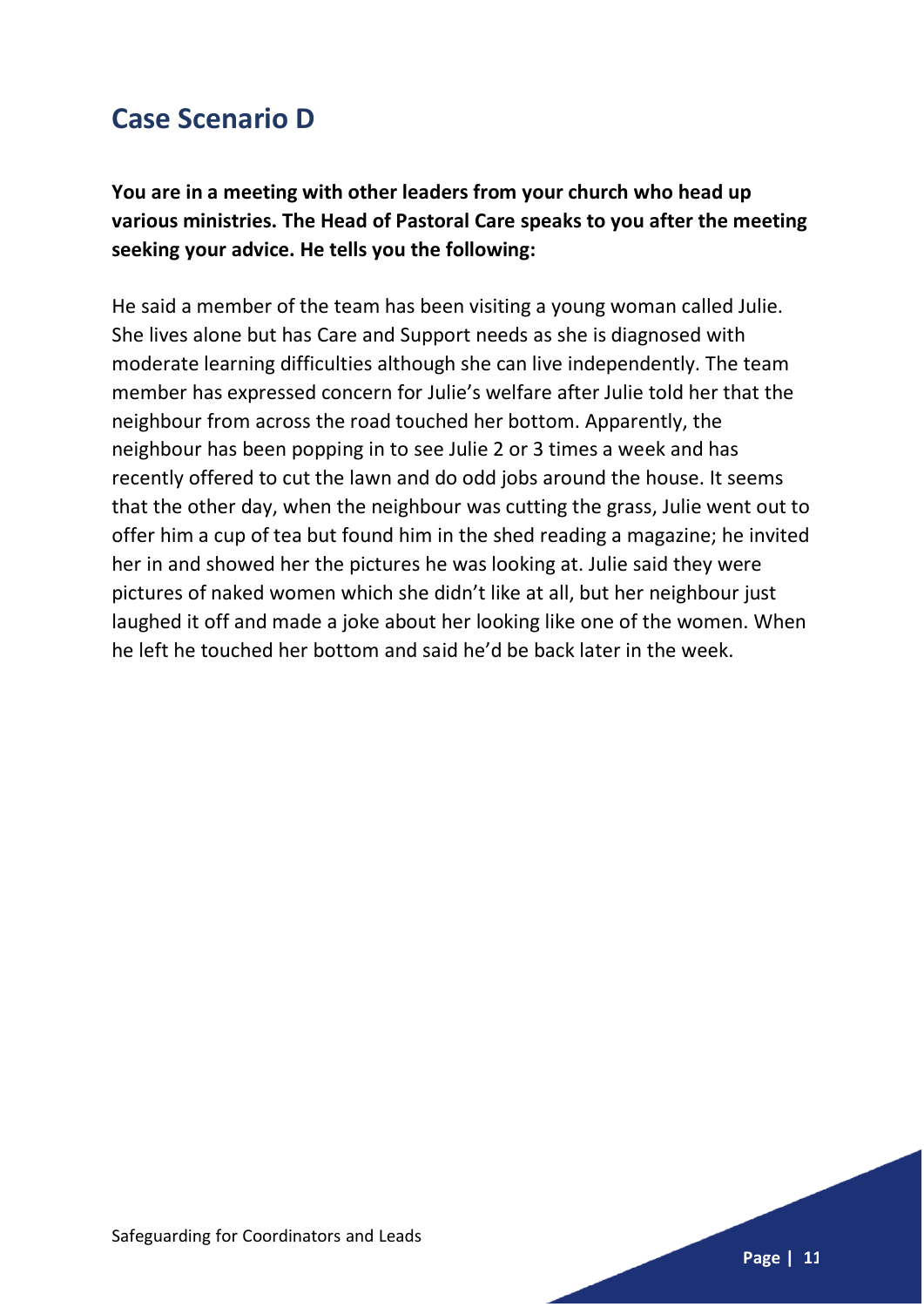## **Case Scenario D**

**You are in a meeting with other leaders from your church who head up various ministries. The Head of Pastoral Care speaks to you after the meeting seeking your advice. He tells you the following:**

He said a member of the team has been visiting a young woman called Julie. She lives alone but has Care and Support needs as she is diagnosed with moderate learning difficulties although she can live independently. The team member has expressed concern for Julie's welfare after Julie told her that the neighbour from across the road touched her bottom. Apparently, the neighbour has been popping in to see Julie 2 or 3 times a week and has recently offered to cut the lawn and do odd jobs around the house. It seems that the other day, when the neighbour was cutting the grass, Julie went out to offer him a cup of tea but found him in the shed reading a magazine; he invited her in and showed her the pictures he was looking at. Julie said they were pictures of naked women which she didn't like at all, but her neighbour just laughed it off and made a joke about her looking like one of the women. When he left he touched her bottom and said he'd be back later in the week.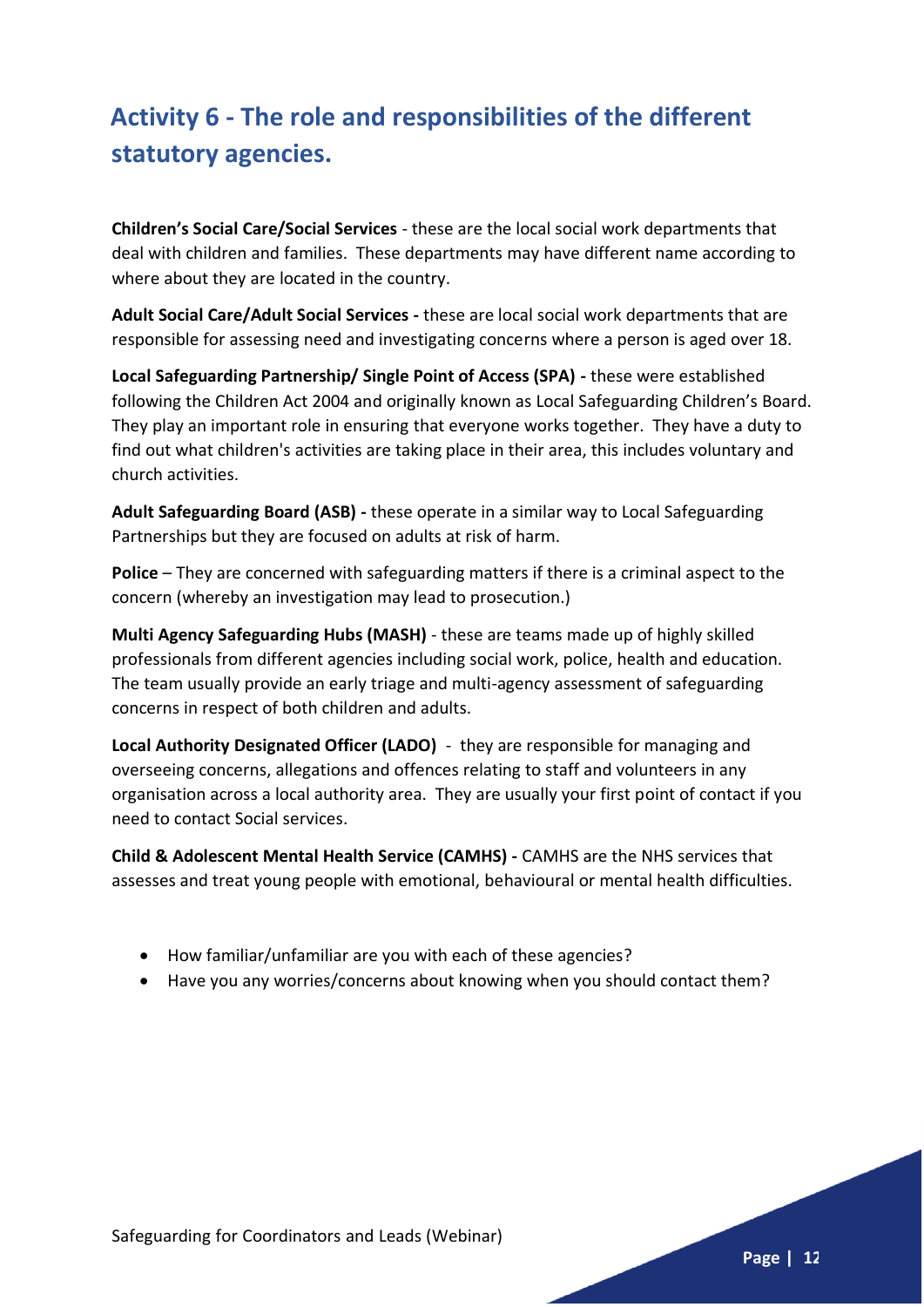# **Activity 6 - The role and responsibilities of the different statutory agencies.**

**Children's Social Care/Social Services** - these are the local social work departments that deal with children and families. These departments may have different name according to where about they are located in the country.

**Adult Social Care/Adult Social Services -** these are local social work departments that are responsible for assessing need and investigating concerns where a person is aged over 18.

**Local Safeguarding Partnership/ Single Point of Access (SPA) -** these were established following the Children Act 2004 and originally known as Local Safeguarding Children's Board. They play an important role in ensuring that everyone works together. They have a duty to find out what children's activities are taking place in their area, this includes voluntary and church activities.

**Adult Safeguarding Board (ASB) -** these operate in a similar way to Local Safeguarding Partnerships but they are focused on adults at risk of harm.

**Police** – They are concerned with safeguarding matters if there is a criminal aspect to the concern (whereby an investigation may lead to prosecution.)

**Multi Agency Safeguarding Hubs (MASH)** - these are teams made up of highly skilled professionals from different agencies including social work, police, health and education. The team usually provide an early triage and multi-agency assessment of safeguarding concerns in respect of both children and adults.

**Local Authority Designated Officer (LADO)** - they are responsible for managing and overseeing concerns, allegations and offences relating to staff and volunteers in any organisation across a local authority area. They are usually your first point of contact if you need to contact Social services.

**Child & Adolescent Mental Health Service (CAMHS) -** CAMHS are the NHS services that assesses and treat young people with emotional, behavioural or mental health difficulties.

- How familiar/unfamiliar are you with each of these agencies?
- Have you any worries/concerns about knowing when you should contact them?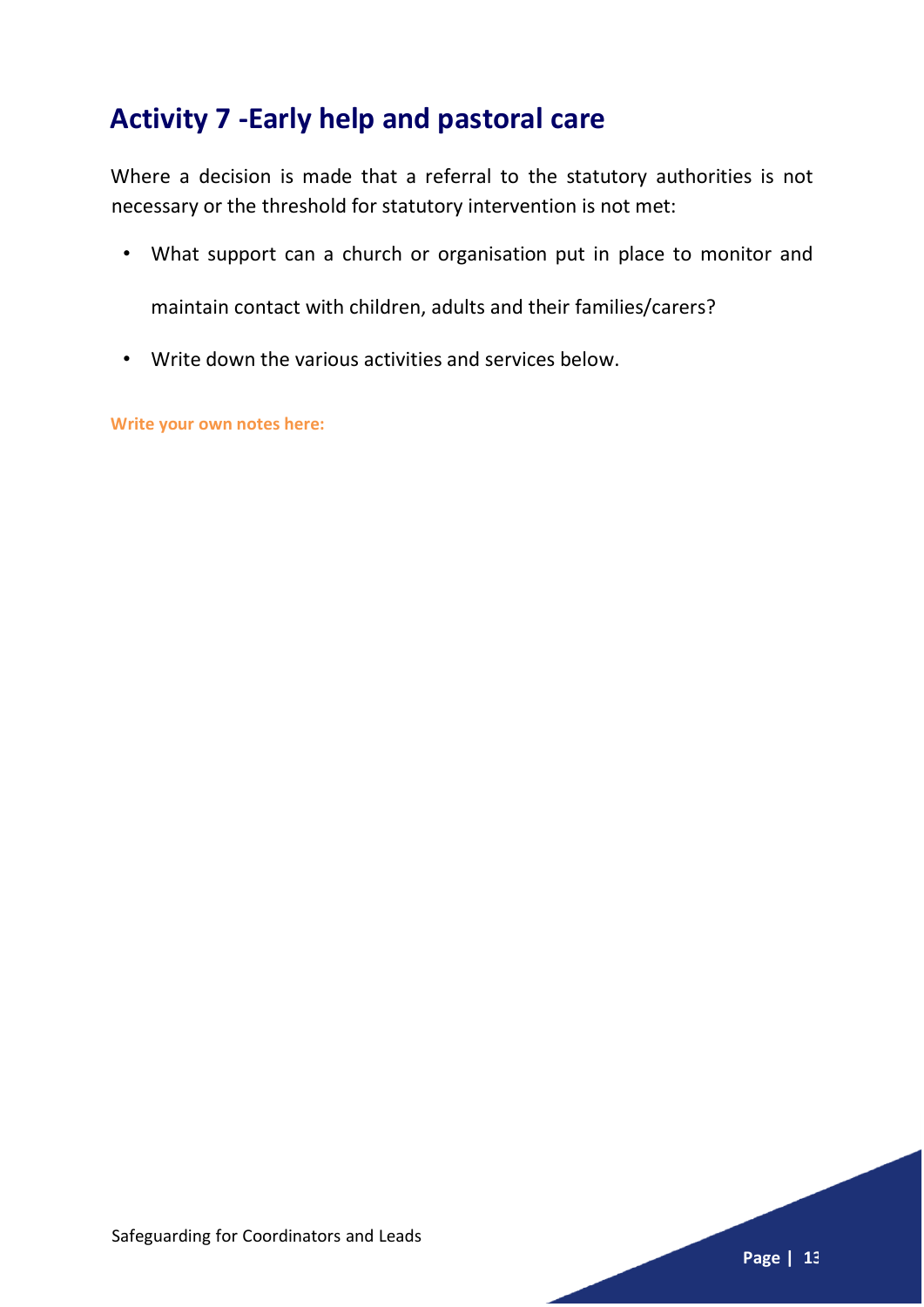# **Activity 7 -Early help and pastoral care**

Where a decision is made that a referral to the statutory authorities is not necessary or the threshold for statutory intervention is not met:

• What support can a church or organisation put in place to monitor and

maintain contact with children, adults and their families/carers?

• Write down the various activities and services below.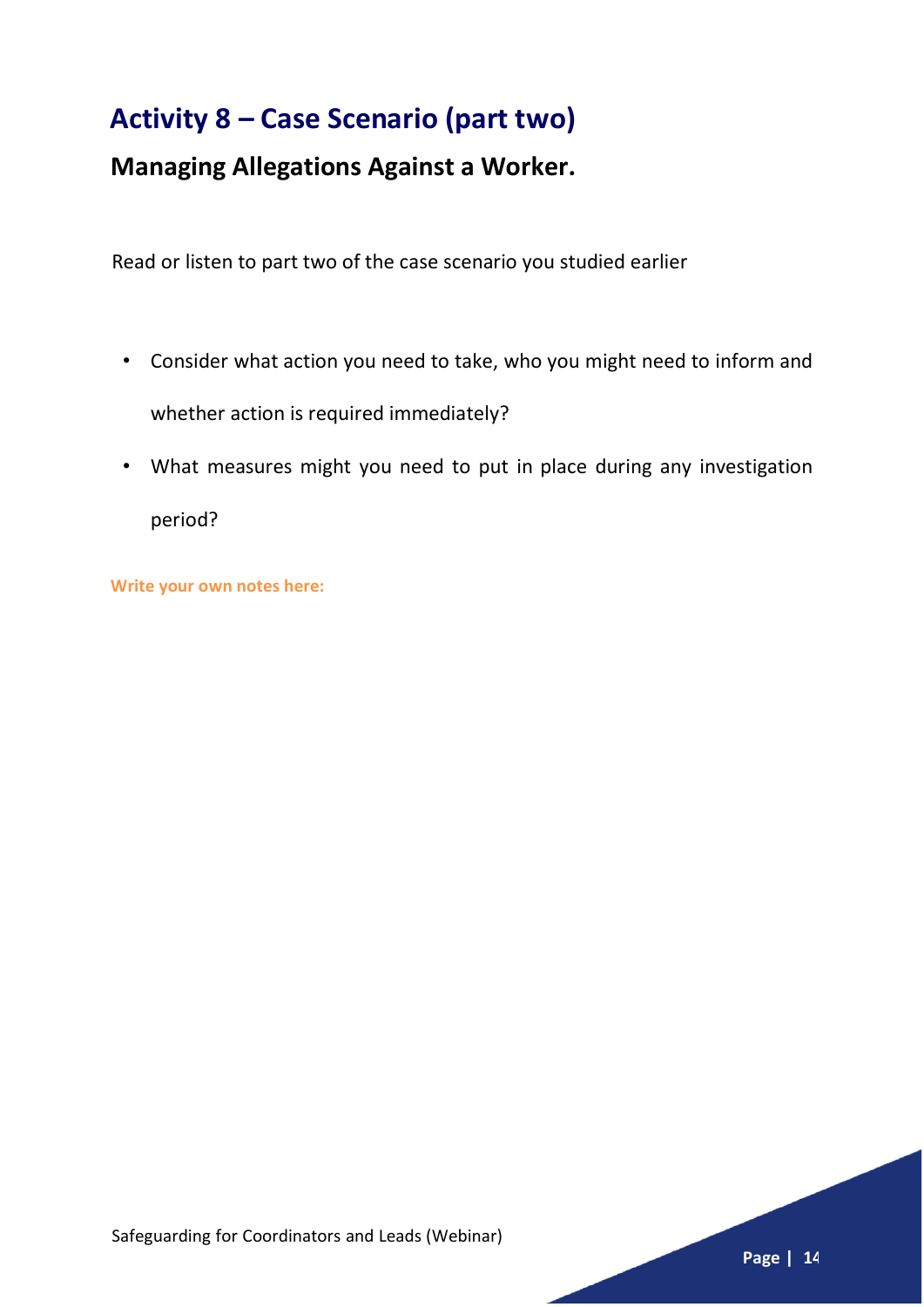# **Activity 8 – Case Scenario (part two)**

## **Managing Allegations Against a Worker.**

Read or listen to part two of the case scenario you studied earlier

- Consider what action you need to take, who you might need to inform and whether action is required immediately?
- What measures might you need to put in place during any investigation period?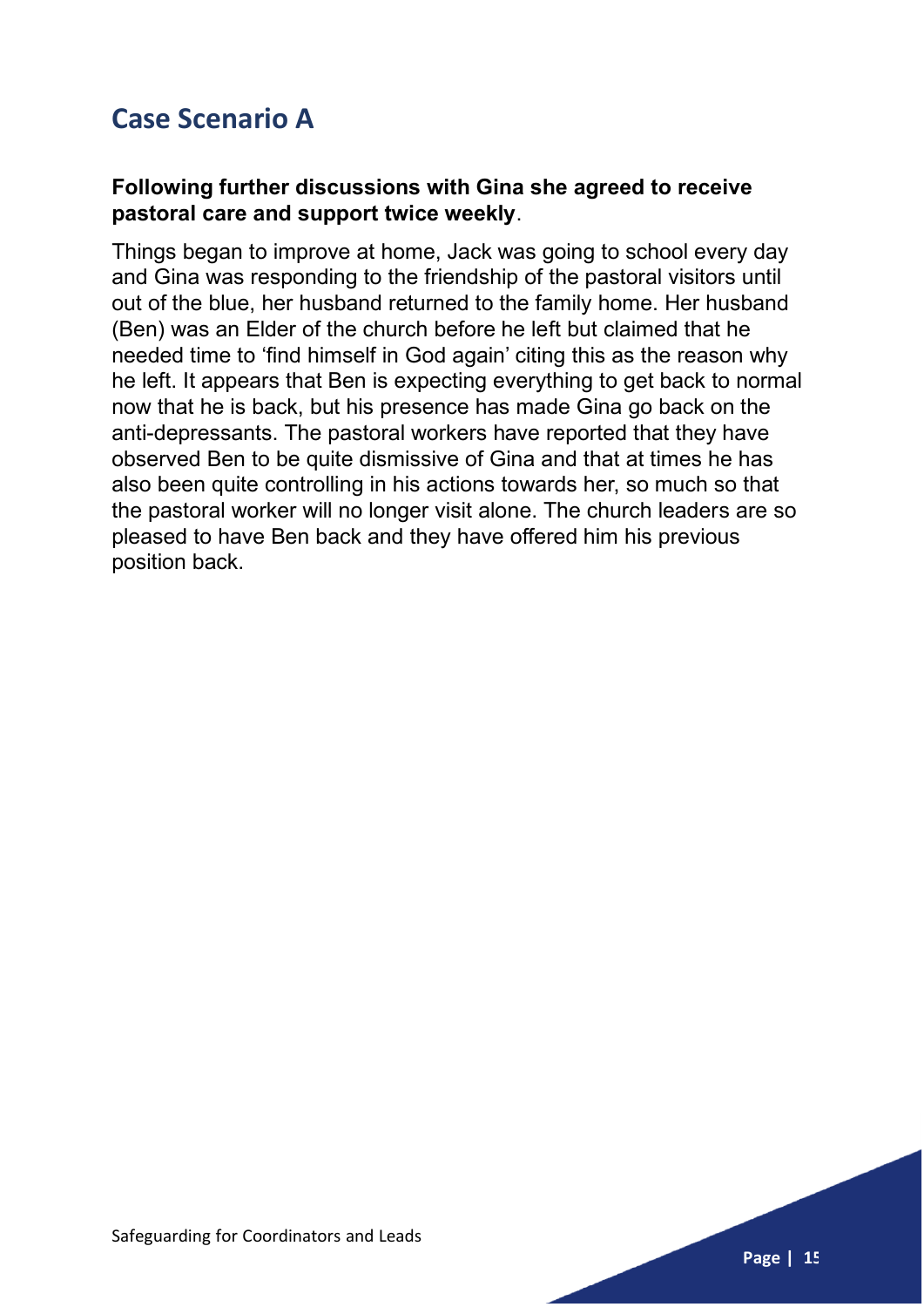# **Case Scenario A**

#### **Following further discussions with Gina she agreed to receive pastoral care and support twice weekly**.

Things began to improve at home, Jack was going to school every day and Gina was responding to the friendship of the pastoral visitors until out of the blue, her husband returned to the family home. Her husband (Ben) was an Elder of the church before he left but claimed that he needed time to 'find himself in God again' citing this as the reason why he left. It appears that Ben is expecting everything to get back to normal now that he is back, but his presence has made Gina go back on the anti-depressants. The pastoral workers have reported that they have observed Ben to be quite dismissive of Gina and that at times he has also been quite controlling in his actions towards her, so much so that the pastoral worker will no longer visit alone. The church leaders are so pleased to have Ben back and they have offered him his previous position back.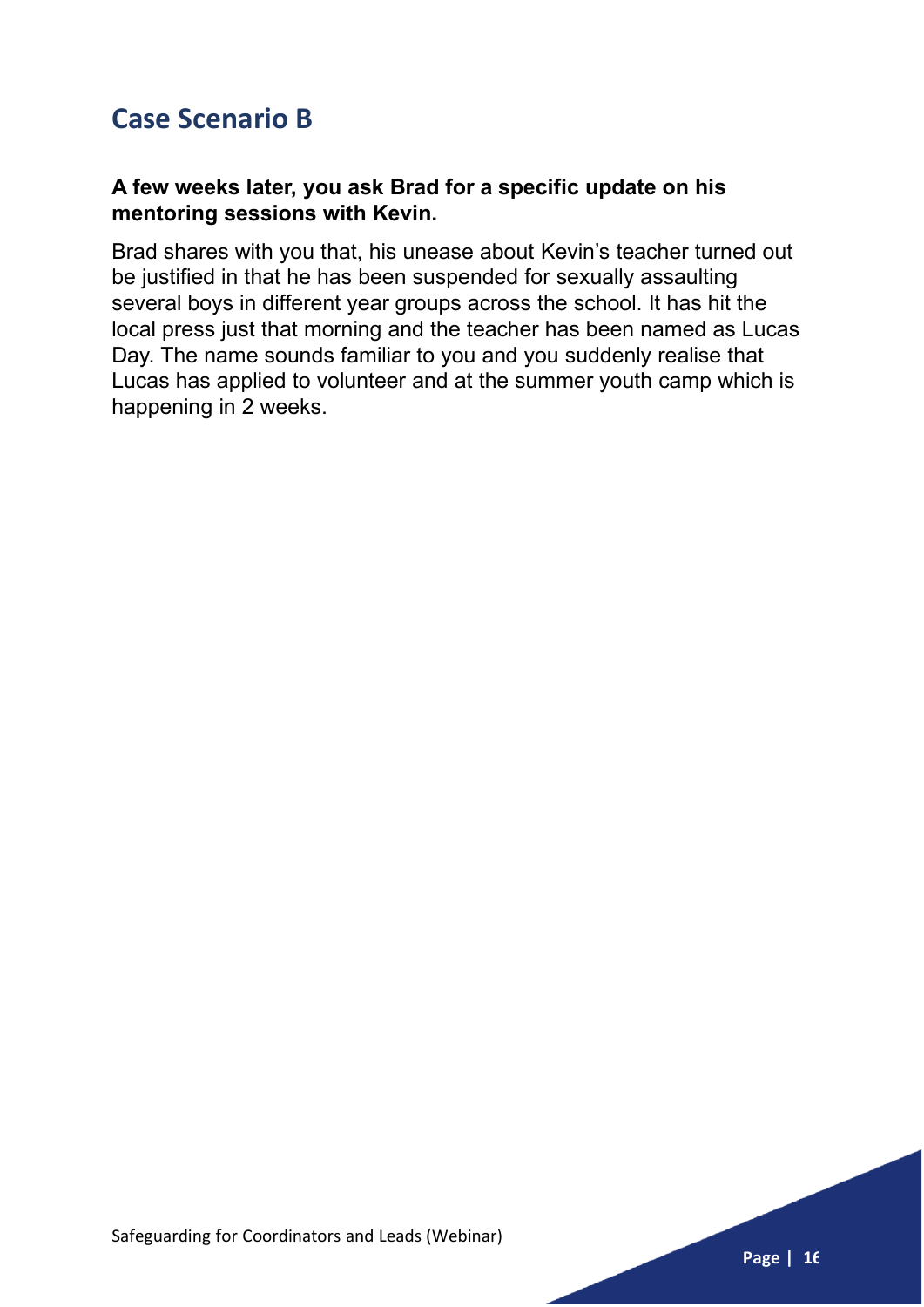## **Case Scenario B**

#### **A few weeks later, you ask Brad for a specific update on his mentoring sessions with Kevin.**

Brad shares with you that, his unease about Kevin's teacher turned out be justified in that he has been suspended for sexually assaulting several boys in different year groups across the school. It has hit the local press just that morning and the teacher has been named as Lucas Day. The name sounds familiar to you and you suddenly realise that Lucas has applied to volunteer and at the summer youth camp which is happening in 2 weeks.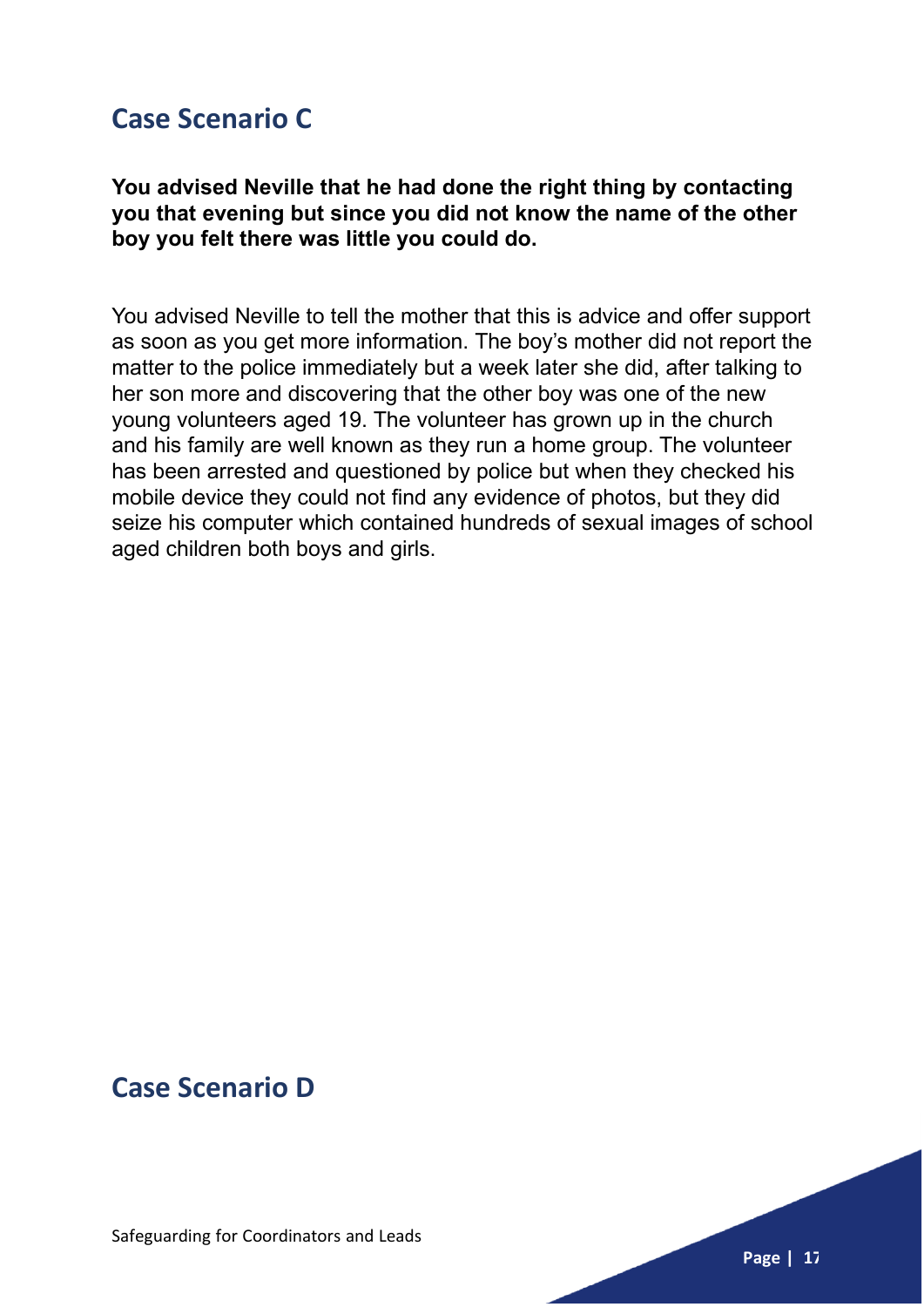## **Case Scenario C**

## **You advised Neville that he had done the right thing by contacting you that evening but since you did not know the name of the other boy you felt there was little you could do.**

You advised Neville to tell the mother that this is advice and offer support as soon as you get more information. The boy's mother did not report the matter to the police immediately but a week later she did, after talking to her son more and discovering that the other boy was one of the new young volunteers aged 19. The volunteer has grown up in the church and his family are well known as they run a home group. The volunteer has been arrested and questioned by police but when they checked his mobile device they could not find any evidence of photos, but they did seize his computer which contained hundreds of sexual images of school aged children both boys and girls.

## **Case Scenario D**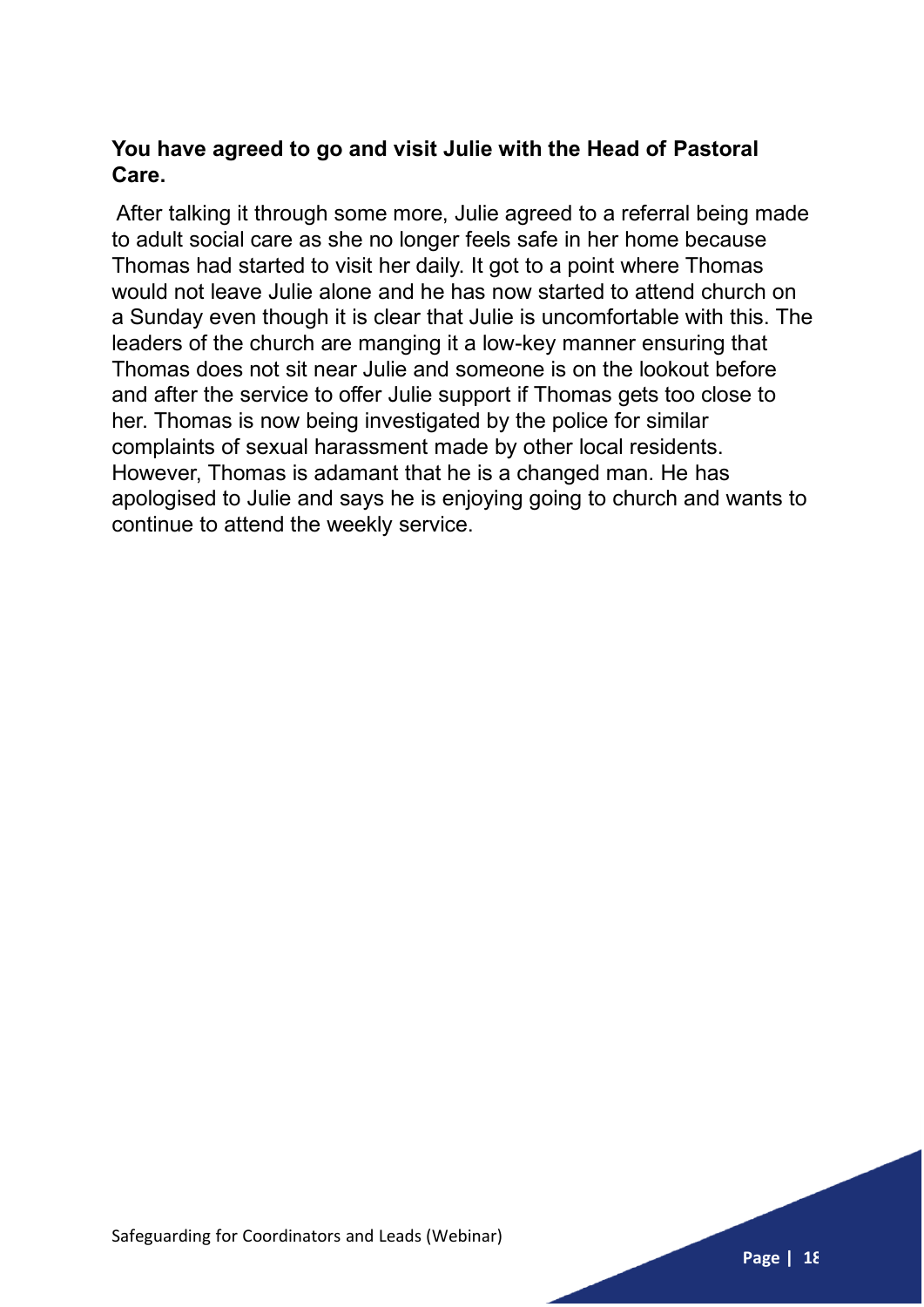## **You have agreed to go and visit Julie with the Head of Pastoral Care.**

After talking it through some more, Julie agreed to a referral being made to adult social care as she no longer feels safe in her home because Thomas had started to visit her daily. It got to a point where Thomas would not leave Julie alone and he has now started to attend church on a Sunday even though it is clear that Julie is uncomfortable with this. The leaders of the church are manging it a low-key manner ensuring that Thomas does not sit near Julie and someone is on the lookout before and after the service to offer Julie support if Thomas gets too close to her. Thomas is now being investigated by the police for similar complaints of sexual harassment made by other local residents. However, Thomas is adamant that he is a changed man. He has apologised to Julie and says he is enjoying going to church and wants to continue to attend the weekly service.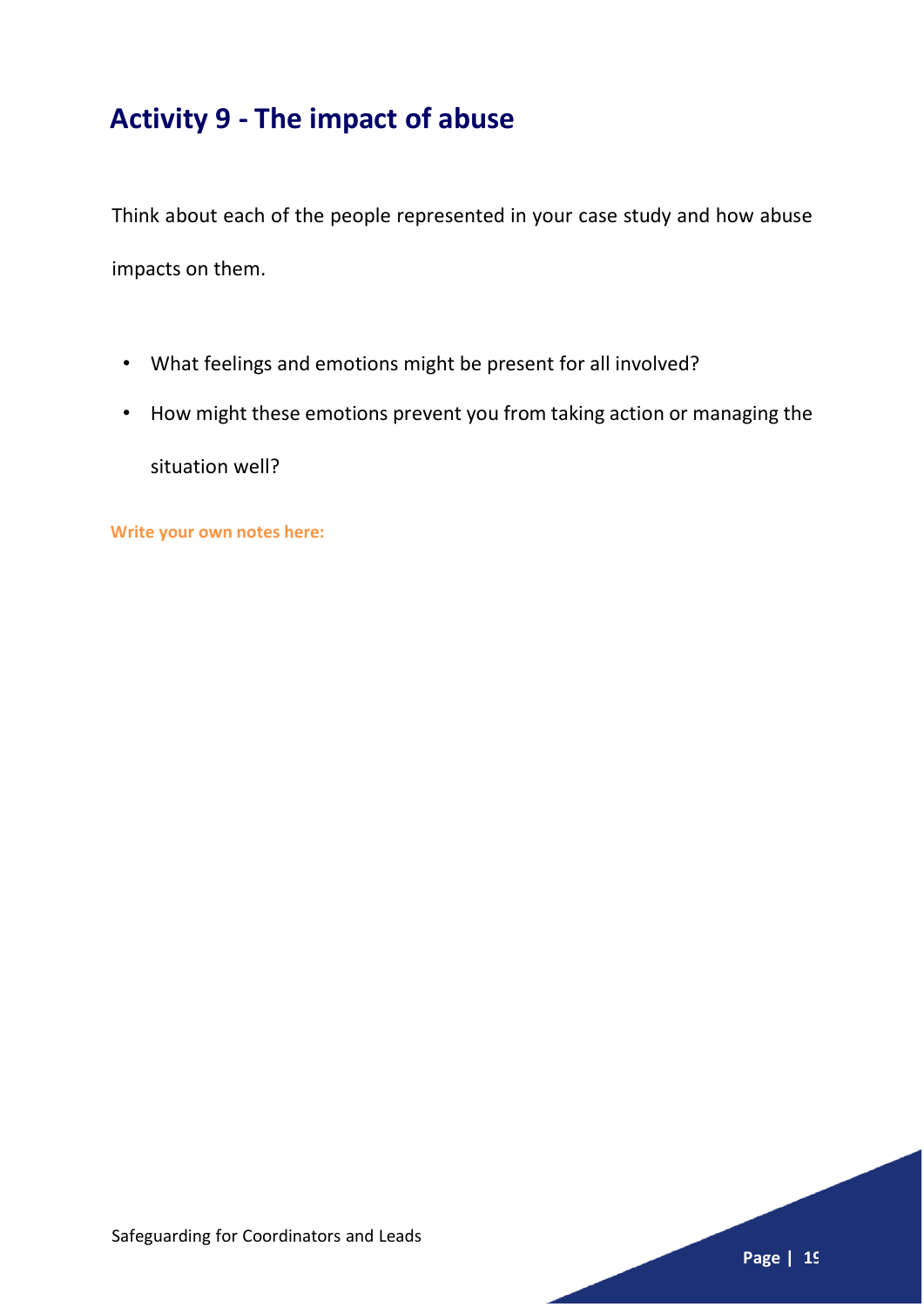# **Activity 9 - The impact of abuse**

Think about each of the people represented in your case study and how abuse impacts on them.

- What feelings and emotions might be present for all involved?
- How might these emotions prevent you from taking action or managing the

situation well?